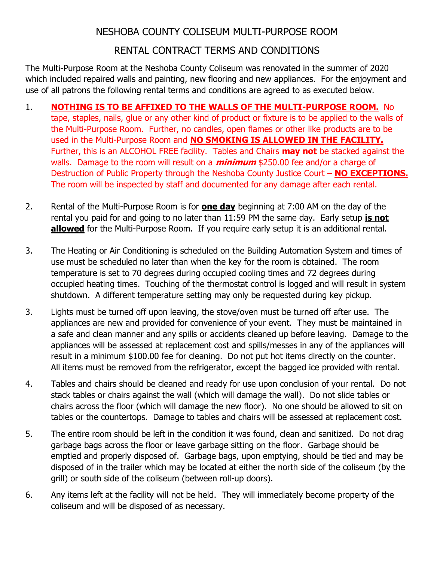## NESHOBA COUNTY COLISEUM MULTI-PURPOSE ROOM

# RENTAL CONTRACT TERMS AND CONDITIONS

The Multi-Purpose Room at the Neshoba County Coliseum was renovated in the summer of 2020 which included repaired walls and painting, new flooring and new appliances. For the enjoyment and use of all patrons the following rental terms and conditions are agreed to as executed below.

- 1. **NOTHING IS TO BE AFFIXED TO THE WALLS OF THE MULTI-PURPOSE ROOM.** No tape, staples, nails, glue or any other kind of product or fixture is to be applied to the walls of the Multi-Purpose Room. Further, no candles, open flames or other like products are to be used in the Multi-Purpose Room and **NO SMOKING IS ALLOWED IN THE FACILITY.** Further, this is an ALCOHOL FREE facility. Tables and Chairs **may not** be stacked against the walls. Damage to the room will result on a **minimum** \$250.00 fee and/or a charge of Destruction of Public Property through the Neshoba County Justice Court – **NO EXCEPTIONS.** The room will be inspected by staff and documented for any damage after each rental.
- 2. Rental of the Multi-Purpose Room is for **one day** beginning at 7:00 AM on the day of the rental you paid for and going to no later than 11:59 PM the same day. Early setup **is not allowed** for the Multi-Purpose Room. If you require early setup it is an additional rental.
- 3. The Heating or Air Conditioning is scheduled on the Building Automation System and times of use must be scheduled no later than when the key for the room is obtained. The room temperature is set to 70 degrees during occupied cooling times and 72 degrees during occupied heating times. Touching of the thermostat control is logged and will result in system shutdown. A different temperature setting may only be requested during key pickup.
- 3. Lights must be turned off upon leaving, the stove/oven must be turned off after use. The appliances are new and provided for convenience of your event. They must be maintained in a safe and clean manner and any spills or accidents cleaned up before leaving. Damage to the appliances will be assessed at replacement cost and spills/messes in any of the appliances will result in a minimum \$100.00 fee for cleaning. Do not put hot items directly on the counter. All items must be removed from the refrigerator, except the bagged ice provided with rental.
- 4. Tables and chairs should be cleaned and ready for use upon conclusion of your rental. Do not stack tables or chairs against the wall (which will damage the wall). Do not slide tables or chairs across the floor (which will damage the new floor). No one should be allowed to sit on tables or the countertops. Damage to tables and chairs will be assessed at replacement cost.
- 5. The entire room should be left in the condition it was found, clean and sanitized. Do not drag garbage bags across the floor or leave garbage sitting on the floor. Garbage should be emptied and properly disposed of. Garbage bags, upon emptying, should be tied and may be disposed of in the trailer which may be located at either the north side of the coliseum (by the grill) or south side of the coliseum (between roll-up doors).
- 6. Any items left at the facility will not be held. They will immediately become property of the coliseum and will be disposed of as necessary.